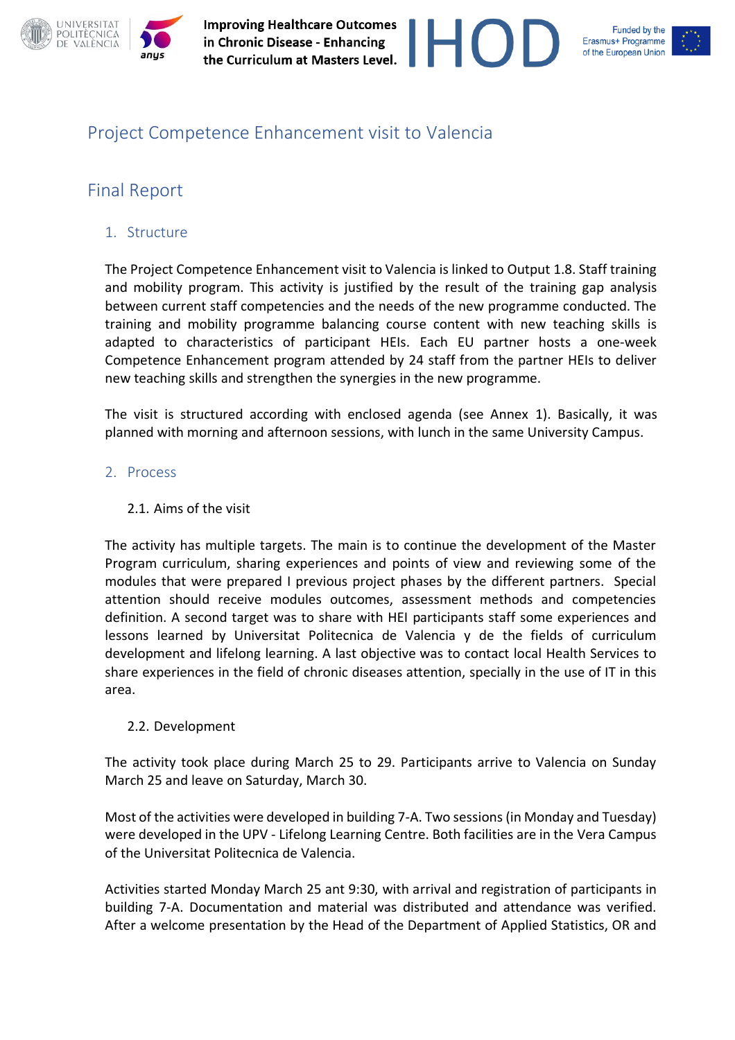



### Project Competence Enhancement visit to Valencia

### Final Report

### 1. Structure

The Project Competence Enhancement visit to Valencia is linked to Output 1.8. Staff training and mobility program. This activity is justified by the result of the training gap analysis between current staff competencies and the needs of the new programme conducted. The training and mobility programme balancing course content with new teaching skills is adapted to characteristics of participant HEIs. Each EU partner hosts a one-week Competence Enhancement program attended by 24 staff from the partner HEIs to deliver new teaching skills and strengthen the synergies in the new programme.

The visit is structured according with enclosed agenda (see Annex 1). Basically, it was planned with morning and afternoon sessions, with lunch in the same University Campus.

### 2. Process

### 2.1. Aims of the visit

The activity has multiple targets. The main is to continue the development of the Master Program curriculum, sharing experiences and points of view and reviewing some of the modules that were prepared I previous project phases by the different partners. Special attention should receive modules outcomes, assessment methods and competencies definition. A second target was to share with HEI participants staff some experiences and lessons learned by Universitat Politecnica de Valencia y de the fields of curriculum development and lifelong learning. A last objective was to contact local Health Services to share experiences in the field of chronic diseases attention, specially in the use of IT in this area.

### 2.2. Development

The activity took place during March 25 to 29. Participants arrive to Valencia on Sunday March 25 and leave on Saturday, March 30.

Most of the activities were developed in building 7-A. Two sessions (in Monday and Tuesday) were developed in the UPV - Lifelong Learning Centre. Both facilities are in the Vera Campus of the Universitat Politecnica de Valencia.

Activities started Monday March 25 ant 9:30, with arrival and registration of participants in building 7-A. Documentation and material was distributed and attendance was verified. After a welcome presentation by the Head of the Department of Applied Statistics, OR and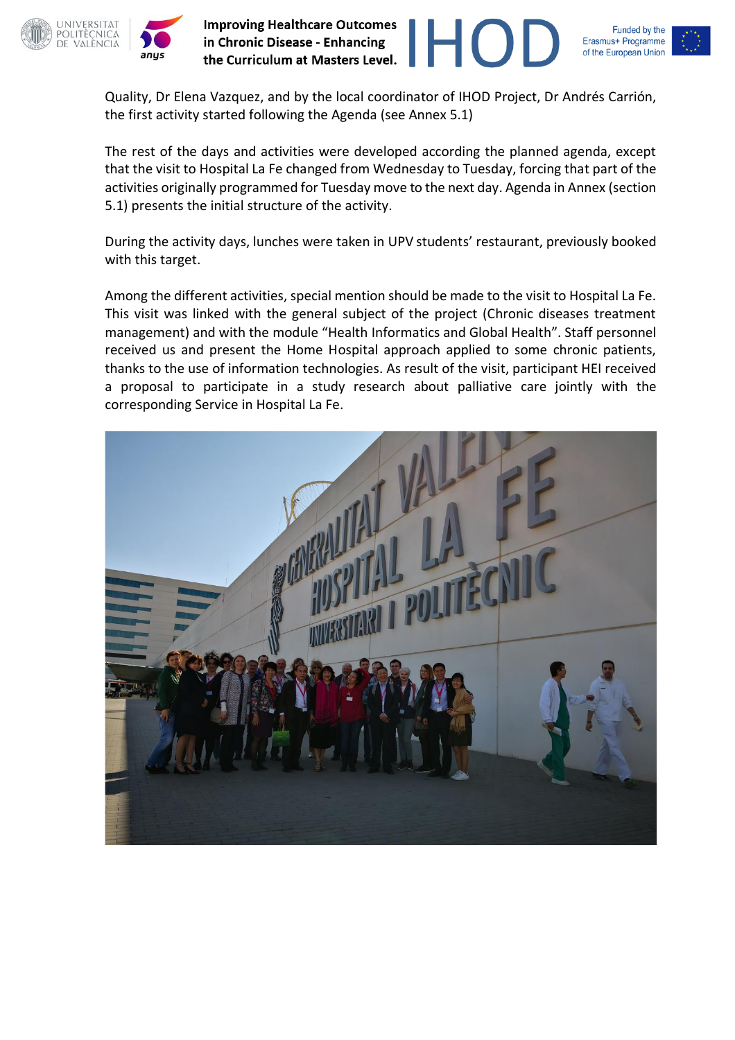



Quality, Dr Elena Vazquez, and by the local coordinator of IHOD Project, Dr Andrés Carrión, the first activity started following the Agenda (see Annex 5.1)

H

The rest of the days and activities were developed according the planned agenda, except that the visit to Hospital La Fe changed from Wednesday to Tuesday, forcing that part of the activities originally programmed for Tuesday move to the next day. Agenda in Annex (section 5.1) presents the initial structure of the activity.

During the activity days, lunches were taken in UPV students' restaurant, previously booked with this target.

Among the different activities, special mention should be made to the visit to Hospital La Fe. This visit was linked with the general subject of the project (Chronic diseases treatment management) and with the module "Health Informatics and Global Health". Staff personnel received us and present the Home Hospital approach applied to some chronic patients, thanks to the use of information technologies. As result of the visit, participant HEI received a proposal to participate in a study research about palliative care jointly with the corresponding Service in Hospital La Fe.

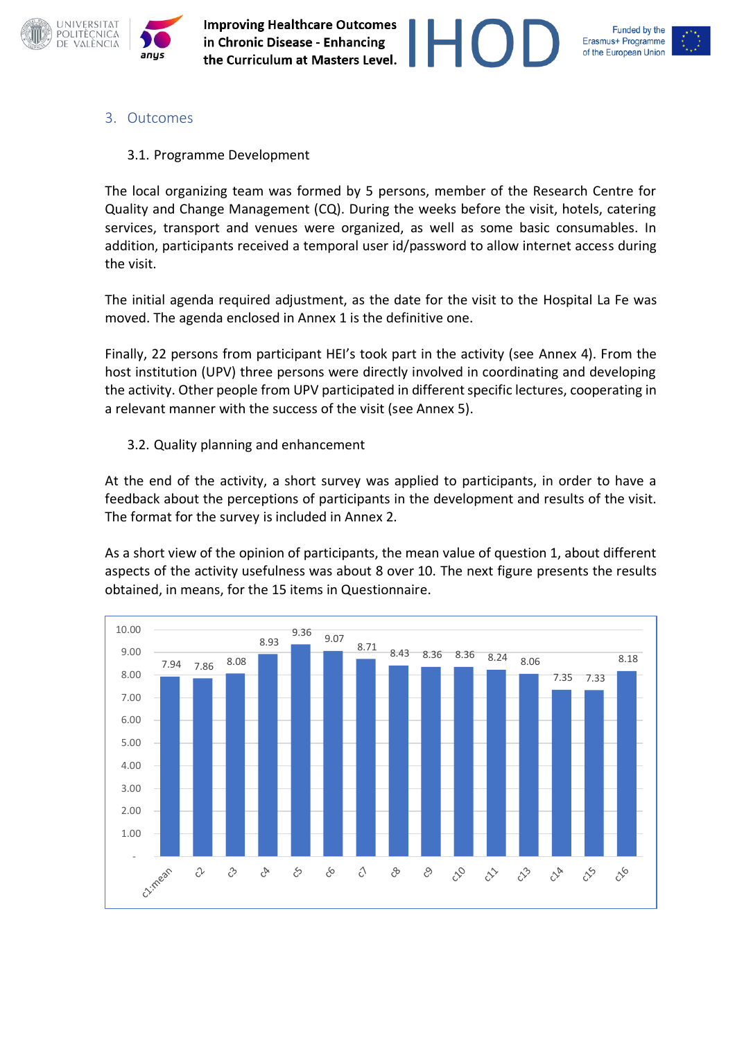



### 3. Outcomes

### 3.1. Programme Development

The local organizing team was formed by 5 persons, member of the Research Centre for Quality and Change Management (CQ). During the weeks before the visit, hotels, catering services, transport and venues were organized, as well as some basic consumables. In addition, participants received a temporal user id/password to allow internet access during the visit.

The initial agenda required adjustment, as the date for the visit to the Hospital La Fe was moved. The agenda enclosed in Annex 1 is the definitive one.

Finally, 22 persons from participant HEI's took part in the activity (see Annex 4). From the host institution (UPV) three persons were directly involved in coordinating and developing the activity. Other people from UPV participated in different specific lectures, cooperating in a relevant manner with the success of the visit (see Annex 5).

### 3.2. Quality planning and enhancement

At the end of the activity, a short survey was applied to participants, in order to have a feedback about the perceptions of participants in the development and results of the visit. The format for the survey is included in Annex 2.

As a short view of the opinion of participants, the mean value of question 1, about different aspects of the activity usefulness was about 8 over 10. The next figure presents the results obtained, in means, for the 15 items in Questionnaire.

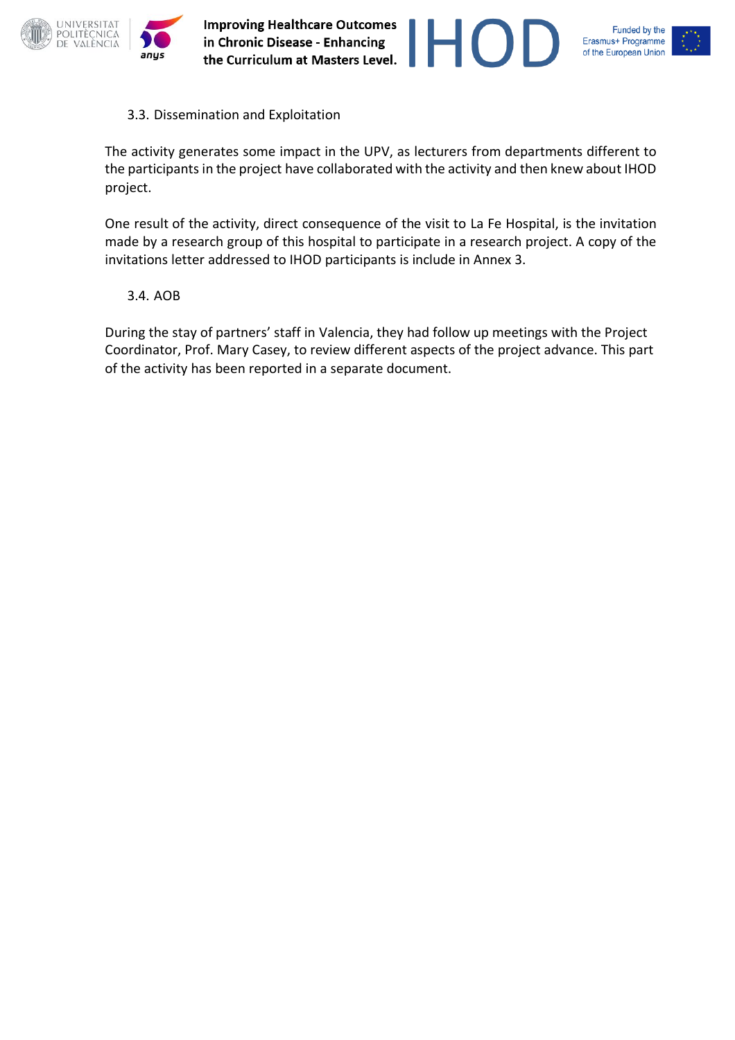

3.3. Dissemination and Exploitation

The activity generates some impact in the UPV, as lecturers from departments different to the participants in the project have collaborated with the activity and then knew about IHOD project.

 $HC$ 

One result of the activity, direct consequence of the visit to La Fe Hospital, is the invitation made by a research group of this hospital to participate in a research project. A copy of the invitations letter addressed to IHOD participants is include in Annex 3.

3.4. AOB

During the stay of partners' staff in Valencia, they had follow up meetings with the Project Coordinator, Prof. Mary Casey, to review different aspects of the project advance. This part of the activity has been reported in a separate document.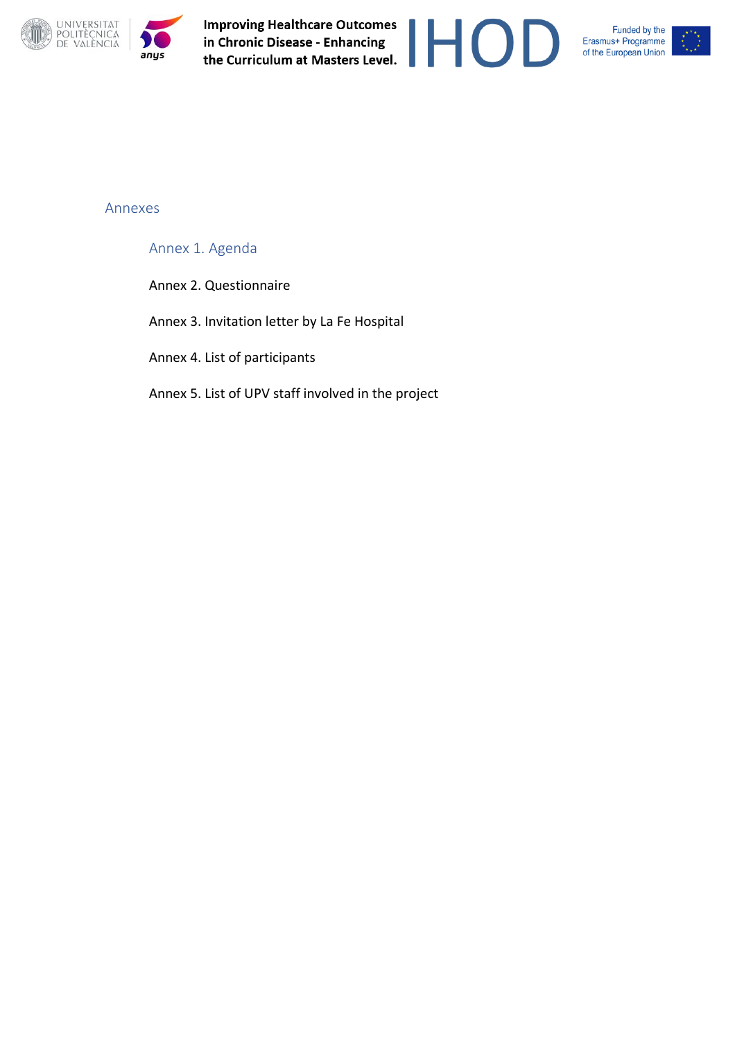

Improving Healthcare Outcomes<br>in Chronic Disease - Enhancing<br>the Curriculum at Masters Level. **Improving Healthcare Outcomes** 







#### Annexes

Annex 1. Agenda

Annex 2. Questionnaire

Annex 3. Invitation letter by La Fe Hospital

Annex 4. List of participants

Annex 5. List of UPV staff involved in the project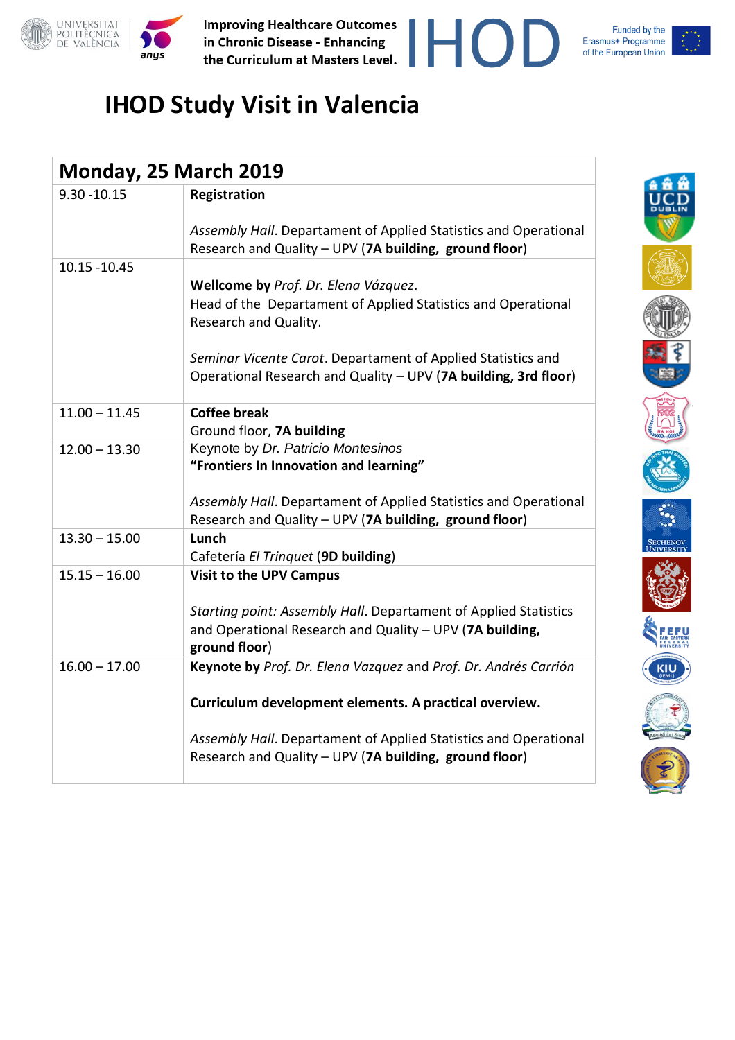





| Monday, 25 March 2019 |                                                                                                                                                  |  |  |  |
|-----------------------|--------------------------------------------------------------------------------------------------------------------------------------------------|--|--|--|
| $9.30 - 10.15$        | Registration                                                                                                                                     |  |  |  |
|                       | Assembly Hall. Departament of Applied Statistics and Operational<br>Research and Quality - UPV (7A building, ground floor)                       |  |  |  |
| 10.15 - 10.45         |                                                                                                                                                  |  |  |  |
|                       | Wellcome by Prof. Dr. Elena Vázquez.<br>Head of the Departament of Applied Statistics and Operational<br>Research and Quality.                   |  |  |  |
|                       | Seminar Vicente Carot. Departament of Applied Statistics and<br>Operational Research and Quality - UPV (7A building, 3rd floor)                  |  |  |  |
| $11.00 - 11.45$       | <b>Coffee break</b><br>Ground floor, 7A building                                                                                                 |  |  |  |
| $12.00 - 13.30$       | Keynote by Dr. Patricio Montesinos<br>"Frontiers In Innovation and learning"<br>Assembly Hall. Departament of Applied Statistics and Operational |  |  |  |
|                       | Research and Quality - UPV (7A building, ground floor)                                                                                           |  |  |  |
| $13.30 - 15.00$       | Lunch<br>Cafetería El Trinquet (9D building)                                                                                                     |  |  |  |
| $15.15 - 16.00$       | <b>Visit to the UPV Campus</b>                                                                                                                   |  |  |  |
|                       | Starting point: Assembly Hall. Departament of Applied Statistics<br>and Operational Research and Quality - UPV (7A building,<br>ground floor)    |  |  |  |
| $16.00 - 17.00$       | Keynote by Prof. Dr. Elena Vazquez and Prof. Dr. Andrés Carrión                                                                                  |  |  |  |
|                       | Curriculum development elements. A practical overview.                                                                                           |  |  |  |
|                       | Assembly Hall. Departament of Applied Statistics and Operational<br>Research and Quality - UPV (7A building, ground floor)                       |  |  |  |

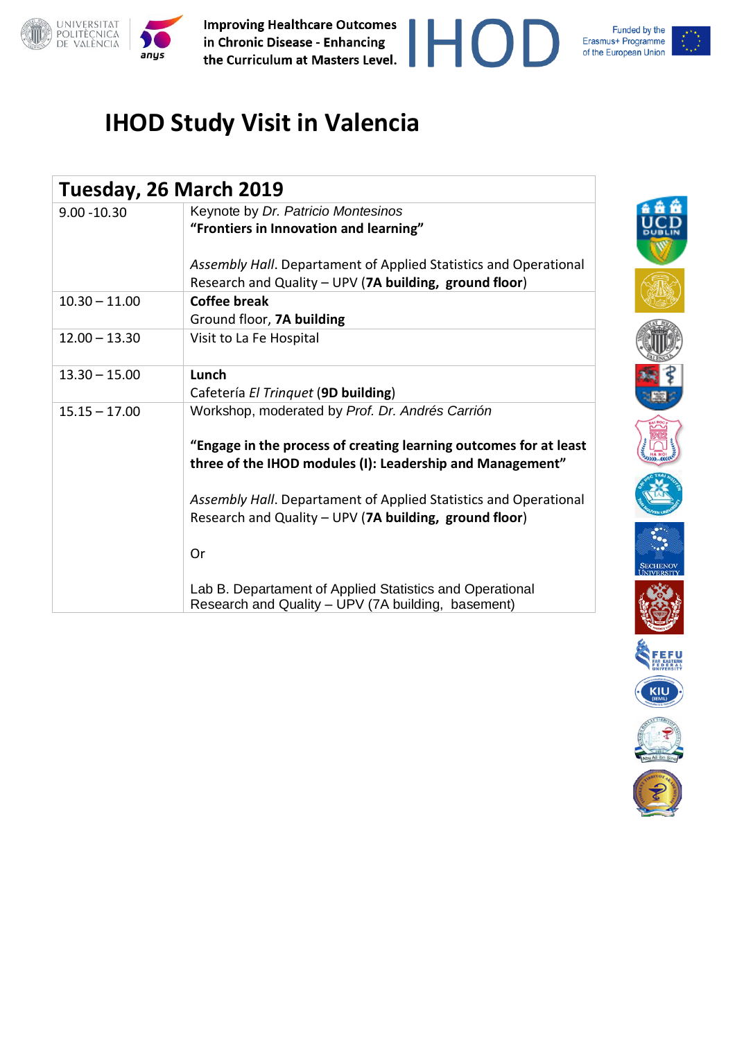





| Tuesday, 26 March 2019 |                                                                                                                                |
|------------------------|--------------------------------------------------------------------------------------------------------------------------------|
| $9.00 - 10.30$         | Keynote by Dr. Patricio Montesinos                                                                                             |
|                        | "Frontiers in Innovation and learning"                                                                                         |
|                        | Assembly Hall. Departament of Applied Statistics and Operational                                                               |
|                        | Research and Quality - UPV (7A building, ground floor)                                                                         |
| $10.30 - 11.00$        | Coffee break                                                                                                                   |
|                        | Ground floor, 7A building                                                                                                      |
| $12.00 - 13.30$        | Visit to La Fe Hospital                                                                                                        |
| $13.30 - 15.00$        | Lunch                                                                                                                          |
|                        | Cafetería El Trinquet (9D building)                                                                                            |
| $15.15 - 17.00$        | Workshop, moderated by Prof. Dr. Andrés Carrión                                                                                |
|                        | "Engage in the process of creating learning outcomes for at least<br>three of the IHOD modules (I): Leadership and Management" |
|                        | Assembly Hall. Departament of Applied Statistics and Operational                                                               |
|                        | Research and Quality - UPV (7A building, ground floor)                                                                         |
|                        | 0r                                                                                                                             |
|                        | Lab B. Departament of Applied Statistics and Operational<br>Research and Quality - UPV (7A building, basement)                 |

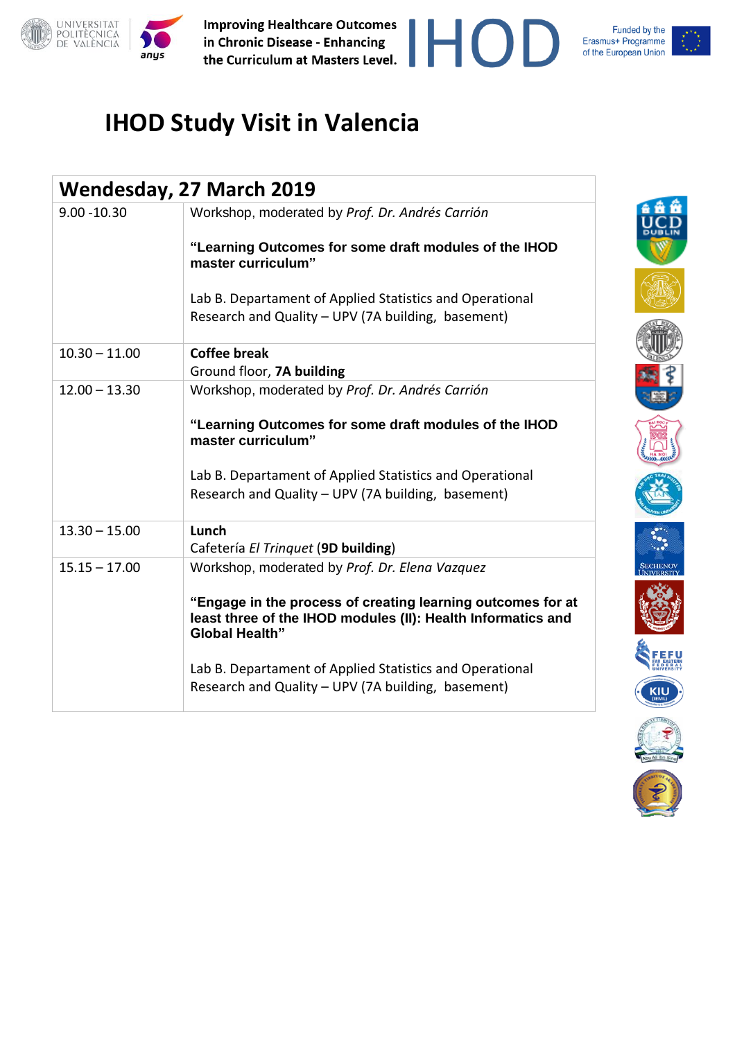





| Wendesday, 27 March 2019 |                                                                                                                                                      |  |  |
|--------------------------|------------------------------------------------------------------------------------------------------------------------------------------------------|--|--|
| $9.00 - 10.30$           | Workshop, moderated by Prof. Dr. Andrés Carrión                                                                                                      |  |  |
|                          | "Learning Outcomes for some draft modules of the IHOD<br>master curriculum"                                                                          |  |  |
|                          | Lab B. Departament of Applied Statistics and Operational                                                                                             |  |  |
|                          | Research and Quality - UPV (7A building, basement)                                                                                                   |  |  |
| $10.30 - 11.00$          | <b>Coffee break</b>                                                                                                                                  |  |  |
|                          | Ground floor, 7A building                                                                                                                            |  |  |
| $12.00 - 13.30$          | Workshop, moderated by Prof. Dr. Andrés Carrión                                                                                                      |  |  |
|                          | "Learning Outcomes for some draft modules of the IHOD<br>master curriculum"                                                                          |  |  |
|                          | Lab B. Departament of Applied Statistics and Operational                                                                                             |  |  |
|                          | Research and Quality - UPV (7A building, basement)                                                                                                   |  |  |
| $13.30 - 15.00$          | Lunch                                                                                                                                                |  |  |
|                          | Cafetería El Trinquet (9D building)                                                                                                                  |  |  |
| $15.15 - 17.00$          | Workshop, moderated by Prof. Dr. Elena Vazquez                                                                                                       |  |  |
|                          | "Engage in the process of creating learning outcomes for at<br>least three of the IHOD modules (II): Health Informatics and<br><b>Global Health"</b> |  |  |
|                          | Lab B. Departament of Applied Statistics and Operational<br>Research and Quality - UPV (7A building, basement)                                       |  |  |

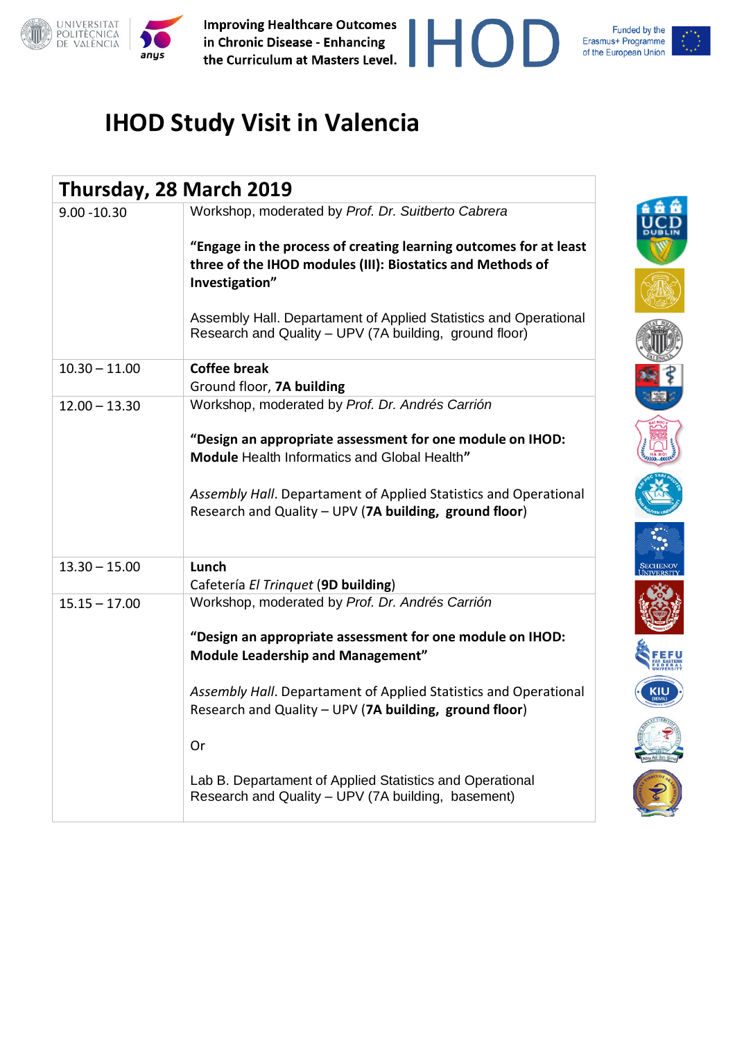



| Thursday, 28 March 2019 |                                                                                                                                                                                                                                                                                                                                       |  |  |  |
|-------------------------|---------------------------------------------------------------------------------------------------------------------------------------------------------------------------------------------------------------------------------------------------------------------------------------------------------------------------------------|--|--|--|
| $9.00 - 10.30$          | Workshop, moderated by Prof. Dr. Suitberto Cabrera<br>"Engage in the process of creating learning outcomes for at least<br>three of the IHOD modules (III): Biostatics and Methods of<br>Investigation"<br>Assembly Hall. Departament of Applied Statistics and Operational<br>Research and Quality - UPV (7A building, ground floor) |  |  |  |
| $10.30 - 11.00$         | <b>Coffee break</b><br>Ground floor, 7A building                                                                                                                                                                                                                                                                                      |  |  |  |
| $12.00 - 13.30$         | Workshop, moderated by Prof. Dr. Andrés Carrión                                                                                                                                                                                                                                                                                       |  |  |  |
|                         | "Design an appropriate assessment for one module on IHOD:<br>Module Health Informatics and Global Health"                                                                                                                                                                                                                             |  |  |  |
|                         | Assembly Hall. Departament of Applied Statistics and Operational<br>Research and Quality - UPV (7A building, ground floor)                                                                                                                                                                                                            |  |  |  |
| $13.30 - 15.00$         | Lunch<br>Cafetería El Trinquet (9D building)                                                                                                                                                                                                                                                                                          |  |  |  |
| $15.15 - 17.00$         | Workshop, moderated by Prof. Dr. Andrés Carrión                                                                                                                                                                                                                                                                                       |  |  |  |
|                         | "Design an appropriate assessment for one module on IHOD:<br><b>Module Leadership and Management"</b>                                                                                                                                                                                                                                 |  |  |  |
|                         | Assembly Hall. Departament of Applied Statistics and Operational<br>Research and Quality - UPV (7A building, ground floor)                                                                                                                                                                                                            |  |  |  |
|                         | Or                                                                                                                                                                                                                                                                                                                                    |  |  |  |
|                         | Lab B. Departament of Applied Statistics and Operational<br>Research and Quality - UPV (7A building, basement)                                                                                                                                                                                                                        |  |  |  |

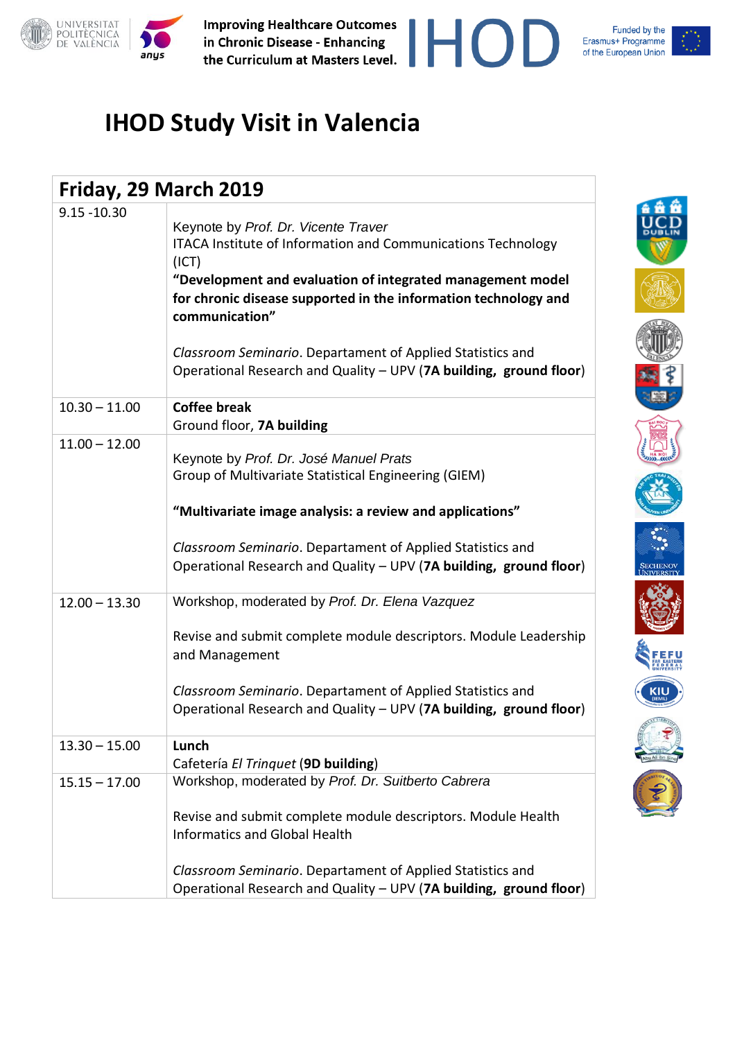

Funded by the Erasmus+ Programme of the European Union

FEFU

**KIU** 

| Friday, 29 March 2019 |                                                                                                                                                                                                                                                                                                                                                                                                     |  |  |  |
|-----------------------|-----------------------------------------------------------------------------------------------------------------------------------------------------------------------------------------------------------------------------------------------------------------------------------------------------------------------------------------------------------------------------------------------------|--|--|--|
| $9.15 - 10.30$        | Keynote by Prof. Dr. Vicente Traver<br>ITACA Institute of Information and Communications Technology<br>(ICT)<br>"Development and evaluation of integrated management model<br>for chronic disease supported in the information technology and<br>communication"<br>Classroom Seminario. Departament of Applied Statistics and<br>Operational Research and Quality - UPV (7A building, ground floor) |  |  |  |
| $10.30 - 11.00$       | <b>Coffee break</b><br>Ground floor, 7A building                                                                                                                                                                                                                                                                                                                                                    |  |  |  |
| $11.00 - 12.00$       | Keynote by Prof. Dr. José Manuel Prats<br>Group of Multivariate Statistical Engineering (GIEM)<br>"Multivariate image analysis: a review and applications"<br>Classroom Seminario. Departament of Applied Statistics and<br>Operational Research and Quality - UPV (7A building, ground floor)                                                                                                      |  |  |  |
| $12.00 - 13.30$       | Workshop, moderated by Prof. Dr. Elena Vazquez<br>Revise and submit complete module descriptors. Module Leadership<br>and Management<br>Classroom Seminario. Departament of Applied Statistics and<br>Operational Research and Quality - UPV (7A building, ground floor)                                                                                                                            |  |  |  |
| $13.30 - 15.00$       | Lunch<br>Cafetería El Trinquet (9D building)                                                                                                                                                                                                                                                                                                                                                        |  |  |  |
| $15.15 - 17.00$       | Workshop, moderated by Prof. Dr. Suitberto Cabrera<br>Revise and submit complete module descriptors. Module Health<br><b>Informatics and Global Health</b><br>Classroom Seminario. Departament of Applied Statistics and<br>Operational Research and Quality - UPV (7A building, ground floor)                                                                                                      |  |  |  |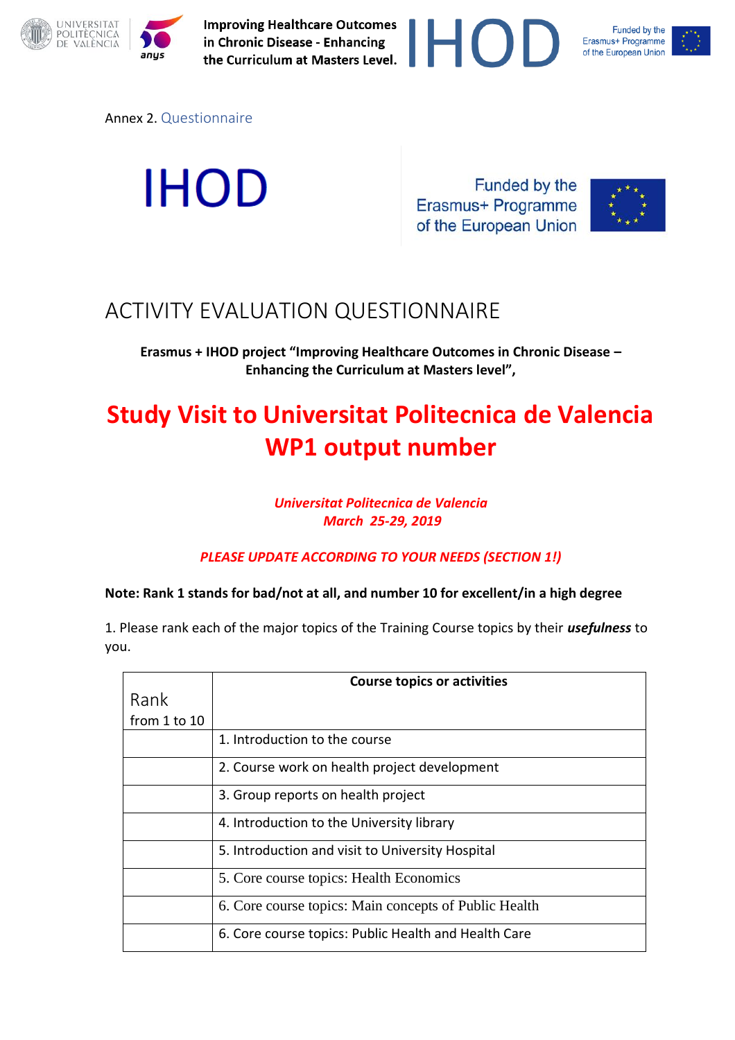



Annex 2. Questionnaire

**IHOD** 

Funded by the Erasmus+ Programme of the European Union



### ACTIVITY EVALUATION QUESTIONNAIRE

**Erasmus + IHOD project "Improving Healthcare Outcomes in Chronic Disease – Enhancing the Curriculum at Masters level",**

# **Study Visit to Universitat Politecnica de Valencia WP1 output number**

### *Universitat Politecnica de Valencia March 25-29, 2019*

*PLEASE UPDATE ACCORDING TO YOUR NEEDS (SECTION 1!)*

### **Note: Rank 1 stands for bad/not at all, and number 10 for excellent/in a high degree**

1. Please rank each of the major topics of the Training Course topics by their *usefulness* to you.

|                  | <b>Course topics or activities</b>                    |
|------------------|-------------------------------------------------------|
| Rank             |                                                       |
|                  |                                                       |
| from $1$ to $10$ |                                                       |
|                  | 1. Introduction to the course                         |
|                  | 2. Course work on health project development          |
|                  | 3. Group reports on health project                    |
|                  | 4. Introduction to the University library             |
|                  | 5. Introduction and visit to University Hospital      |
|                  | 5. Core course topics: Health Economics               |
|                  | 6. Core course topics: Main concepts of Public Health |
|                  | 6. Core course topics: Public Health and Health Care  |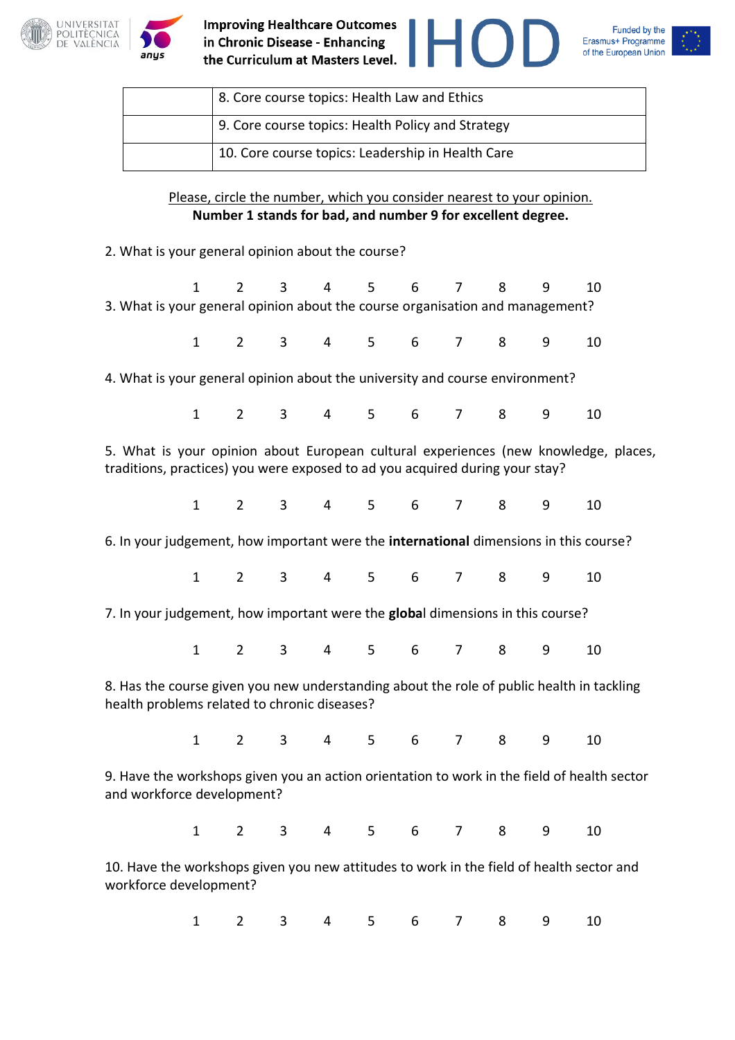

anys







| 8. Core course topics: Health Law and Ethics      |
|---------------------------------------------------|
| 9. Core course topics: Health Policy and Strategy |
| 10. Core course topics: Leadership in Health Care |

Please, circle the number, which you consider nearest to your opinion. **Number 1 stands for bad, and number 9 for excellent degree.**

2. What is your general opinion about the course?

|                                                                                                                                                                     | $\mathbf{1}$ | $\mathbf{2}^{\prime}$ |                                                                    |   | 3 4 5 6 |   | $\overline{7}$ | 8 | 9 | 10 |
|---------------------------------------------------------------------------------------------------------------------------------------------------------------------|--------------|-----------------------|--------------------------------------------------------------------|---|---------|---|----------------|---|---|----|
| 3. What is your general opinion about the course organisation and management?                                                                                       |              |                       |                                                                    |   |         |   |                |   |   |    |
|                                                                                                                                                                     |              |                       | 1 2 3 4 5 6 7 8                                                    |   |         |   |                |   | 9 | 10 |
| 4. What is your general opinion about the university and course environment?                                                                                        |              |                       |                                                                    |   |         |   |                |   |   |    |
|                                                                                                                                                                     |              |                       | $1 \qquad 2 \qquad 3 \qquad 4 \qquad 5 \qquad 6 \qquad 7 \qquad 8$ |   |         |   |                |   | 9 | 10 |
| 5. What is your opinion about European cultural experiences (new knowledge, places,<br>traditions, practices) you were exposed to ad you acquired during your stay? |              |                       |                                                                    |   |         |   |                |   |   |    |
|                                                                                                                                                                     |              |                       | 1 2 3 4 5 6 7 8                                                    |   |         |   |                |   | 9 | 10 |
| 6. In your judgement, how important were the international dimensions in this course?                                                                               |              |                       |                                                                    |   |         |   |                |   |   |    |
|                                                                                                                                                                     |              |                       | $1 \qquad 2 \qquad 3 \qquad 4 \qquad 5 \qquad 6 \qquad 7 \qquad 8$ |   |         |   |                |   | 9 | 10 |
| 7. In your judgement, how important were the global dimensions in this course?                                                                                      |              |                       |                                                                    |   |         |   |                |   |   |    |
|                                                                                                                                                                     |              |                       | $1$ 2 3 4 5 6                                                      |   |         |   | 7              | 8 | 9 | 10 |
| 8. Has the course given you new understanding about the role of public health in tackling<br>health problems related to chronic diseases?                           |              |                       |                                                                    |   |         |   |                |   |   |    |
|                                                                                                                                                                     |              |                       | 1 2 3 4 5 6 7 8                                                    |   |         |   |                |   | 9 | 10 |
| 9. Have the workshops given you an action orientation to work in the field of health sector<br>and workforce development?                                           |              |                       |                                                                    |   |         |   |                |   |   |    |
|                                                                                                                                                                     |              |                       | 1 2 3 4 5 6 7 8 9                                                  |   |         |   |                |   |   | 10 |
| 10. Have the workshops given you new attitudes to work in the field of health sector and<br>workforce development?                                                  |              |                       |                                                                    |   |         |   |                |   |   |    |
|                                                                                                                                                                     | $\mathbf{1}$ | $\overline{2}$        | 3                                                                  | 4 | 5       | 6 | 7              | 8 | 9 | 10 |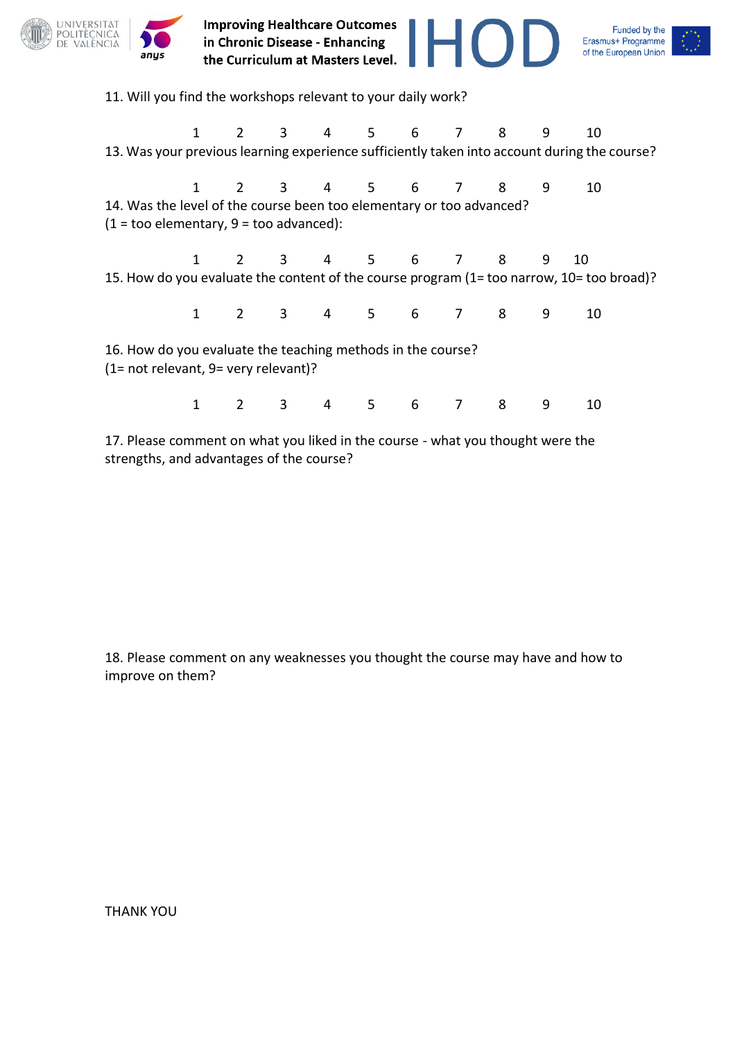

17. Please comment on what you liked in the course - what you thought were the strengths, and advantages of the course?

18. Please comment on any weaknesses you thought the course may have and how to improve on them?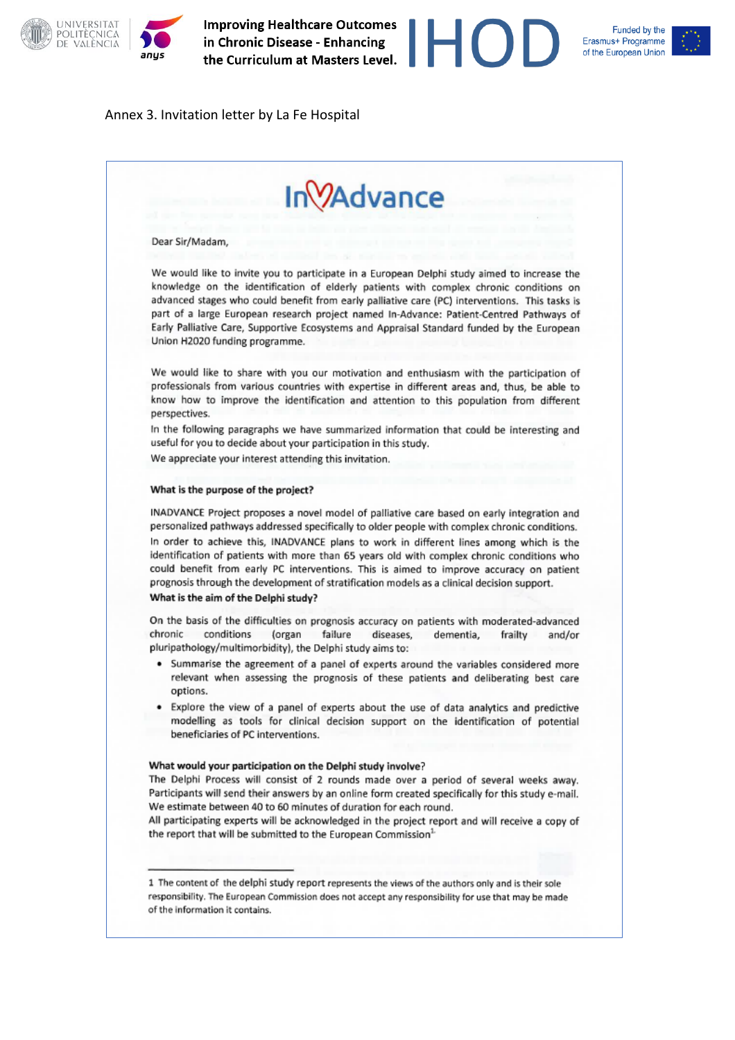

#### Funded by the Erasmus+ Programme of the European Union

#### Annex 3. Invitation letter by La Fe Hospital

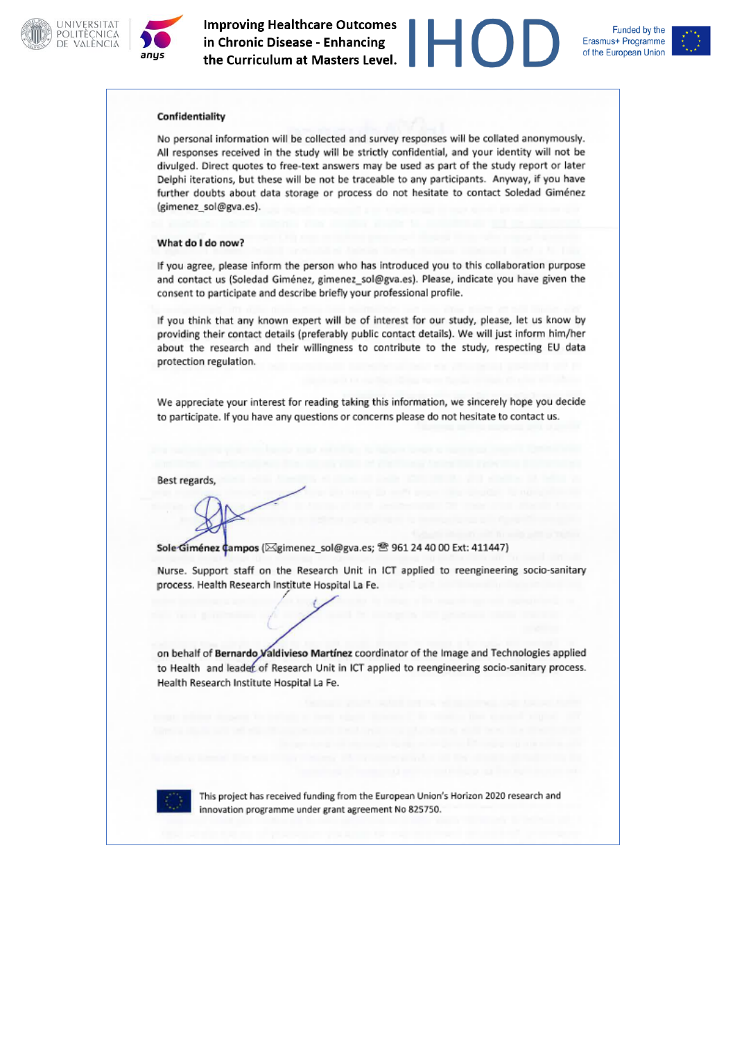





#### Confidentiality

No personal information will be collected and survey responses will be collated anonymously. All responses received in the study will be strictly confidential, and your identity will not be divulged. Direct quotes to free-text answers may be used as part of the study report or later Delphi iterations, but these will be not be traceable to any participants. Anyway, if you have further doubts about data storage or process do not hesitate to contact Soledad Giménez (gimenez\_sol@gva.es).

#### What do I do now?

If you agree, please inform the person who has introduced you to this collaboration purpose and contact us (Soledad Giménez, gimenez\_sol@gva.es). Please, indicate you have given the consent to participate and describe briefly your professional profile.

If you think that any known expert will be of interest for our study, please, let us know by providing their contact details (preferably public contact details). We will just inform him/her about the research and their willingness to contribute to the study, respecting EU data protection regulation.

We appreciate your interest for reading taking this information, we sincerely hope you decide to participate. If you have any questions or concerns please do not hesitate to contact us.

Best regards,

Sole Giménez ¢ampos (<a>[20]</a>simenez\_sol@gva.es; <sup><a><a></sup> 961 24 40 00 Ext: 411447</a>)</a>

Nurse. Support staff on the Research Unit in ICT applied to reengineering socio-sanitary process. Health Research Institute Hospital La Fe.

on behalf of Bernardo Valdivieso Martínez coordinator of the Image and Technologies applied to Health and leader of Research Unit in ICT applied to reengineering socio-sanitary process. Health Research Institute Hospital La Fe.



This project has received funding from the European Union's Horizon 2020 research and innovation programme under grant agreement No 825750.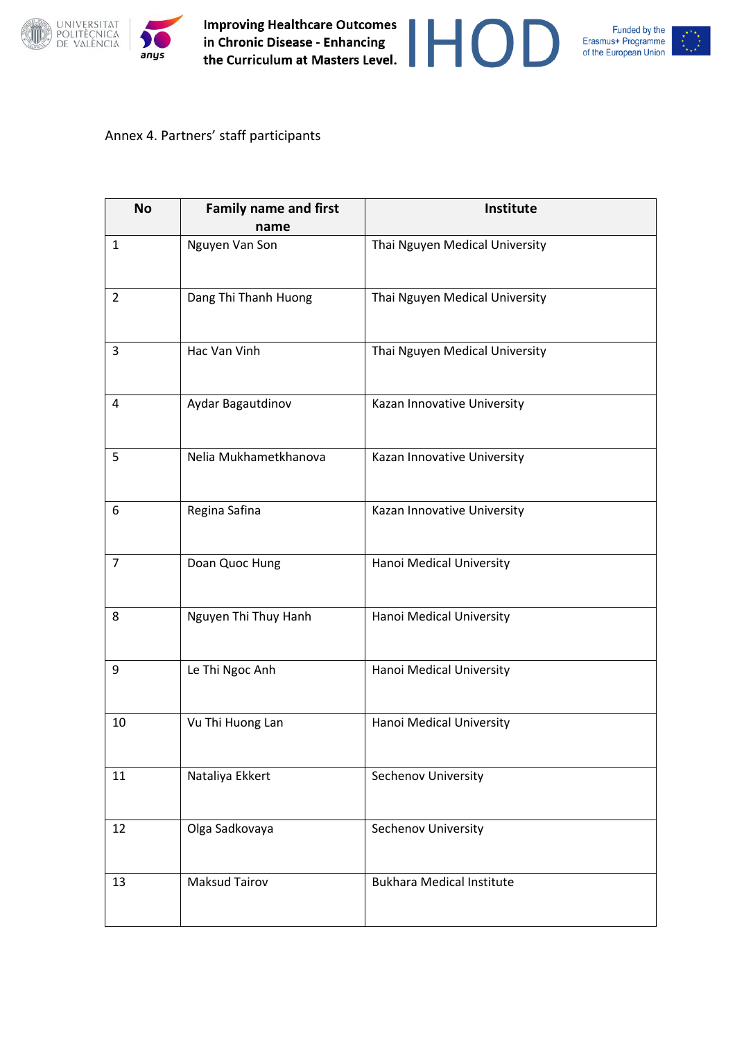





### Annex 4. Partners' staff participants

| <b>No</b>      | <b>Family name and first</b><br>name | Institute                        |
|----------------|--------------------------------------|----------------------------------|
| $\mathbf{1}$   | Nguyen Van Son                       | Thai Nguyen Medical University   |
| $\overline{2}$ | Dang Thi Thanh Huong                 | Thai Nguyen Medical University   |
| 3              | Hac Van Vinh                         | Thai Nguyen Medical University   |
| $\overline{4}$ | Aydar Bagautdinov                    | Kazan Innovative University      |
| 5              | Nelia Mukhametkhanova                | Kazan Innovative University      |
| 6              | Regina Safina                        | Kazan Innovative University      |
| $\overline{7}$ | Doan Quoc Hung                       | Hanoi Medical University         |
| 8              | Nguyen Thi Thuy Hanh                 | Hanoi Medical University         |
| 9              | Le Thi Ngoc Anh                      | Hanoi Medical University         |
| 10             | Vu Thi Huong Lan                     | Hanoi Medical University         |
| 11             | Nataliya Ekkert                      | Sechenov University              |
| 12             | Olga Sadkovaya                       | Sechenov University              |
| 13             | <b>Maksud Tairov</b>                 | <b>Bukhara Medical Institute</b> |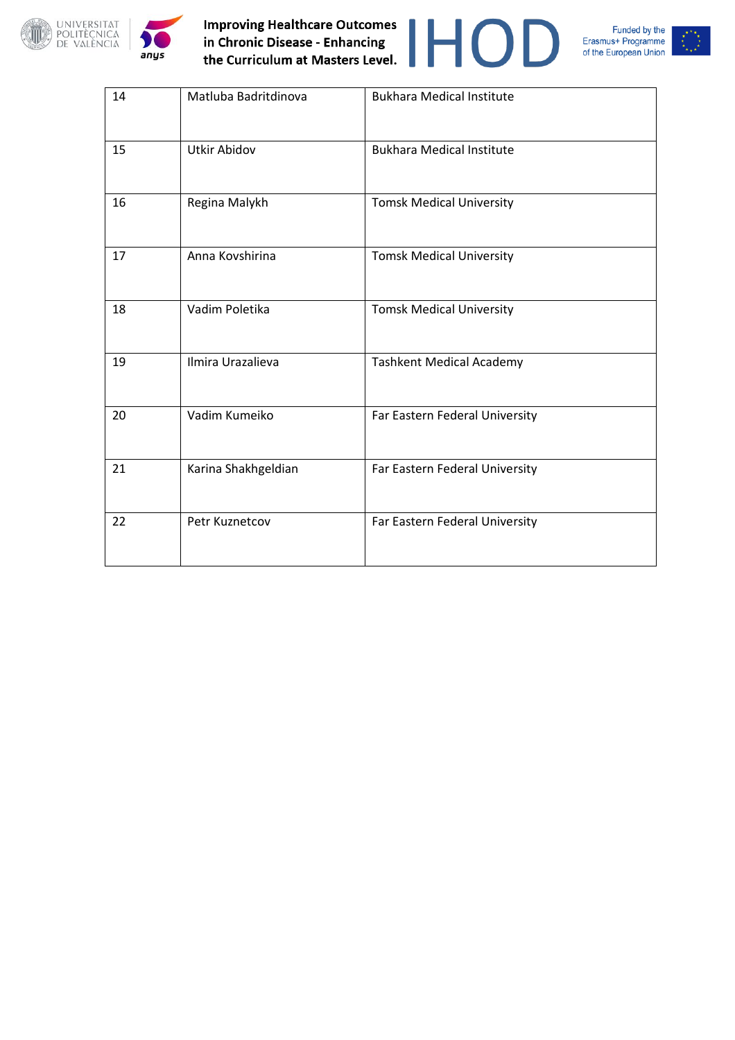









| 14 | Matluba Badritdinova | <b>Bukhara Medical Institute</b> |
|----|----------------------|----------------------------------|
| 15 | <b>Utkir Abidov</b>  | <b>Bukhara Medical Institute</b> |
| 16 | Regina Malykh        | <b>Tomsk Medical University</b>  |
| 17 | Anna Kovshirina      | <b>Tomsk Medical University</b>  |
| 18 | Vadim Poletika       | <b>Tomsk Medical University</b>  |
| 19 | Ilmira Urazalieva    | <b>Tashkent Medical Academy</b>  |
| 20 | Vadim Kumeiko        | Far Eastern Federal University   |
| 21 | Karina Shakhgeldian  | Far Eastern Federal University   |
| 22 | Petr Kuznetcov       | Far Eastern Federal University   |